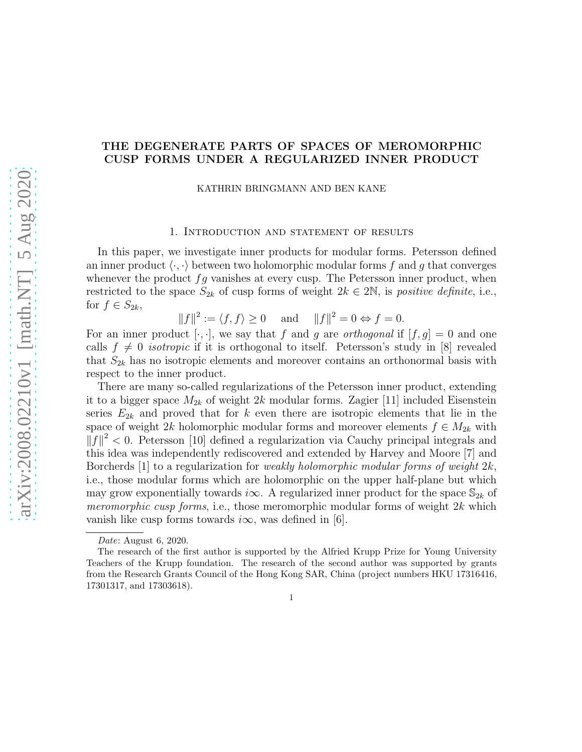# THE DEGENERATE PARTS OF SPACES OF MEROMORPHIC CUSP FORMS UNDER A REGULARIZED INNER PRODUCT

KATHRIN BRINGMANN AND BEN KANE

#### 1. Introduction and statement of results

In this paper, we investigate inner products for modular forms. Petersson defined an inner product  $\langle \cdot, \cdot \rangle$  between two holomorphic modular forms f and g that converges whenever the product  $fg$  vanishes at every cusp. The Petersson inner product, when restricted to the space  $S_{2k}$  of cusp forms of weight  $2k \in 2N$ , is *positive definite*, i.e., for  $f \in S_{2k}$ ,

$$
||f||^2 := \langle f, f \rangle \ge 0
$$
 and  $||f||^2 = 0 \Leftrightarrow f = 0.$ 

For an inner product [ $\cdot$ , $\cdot$ ], we say that f and g are *orthogonal* if  $[f, g] = 0$  and one calls  $f \neq 0$  *isotropic* if it is orthogonal to itself. Petersson's study in [8] revealed that  $S_{2k}$  has no isotropic elements and moreover contains an orthonormal basis with respect to the inner product.

There are many so-called regularizations of the Petersson inner product, extending it to a bigger space  $M_{2k}$  of weight 2k modular forms. Zagier [11] included Eisenstein series  $E_{2k}$  and proved that for k even there are isotropic elements that lie in the space of weight 2k holomorphic modular forms and moreover elements  $f \in M_{2k}$  with  $||f||^2 < 0$ . Petersson [10] defined a regularization via Cauchy principal integrals and this idea was independently rediscovered and extended by Harvey and Moore [7] and Borcherds [1] to a regularization for *weakly holomorphic modular forms of weight 2k*, i.e., those modular forms which are holomorphic on the upper half-plane but which may grow exponentially towards i $\infty$ . A regularized inner product for the space  $\mathbb{S}_{2k}$  of meromorphic cusp forms, i.e., those meromorphic modular forms of weight  $2k$  which vanish like cusp forms towards  $i\infty$ , was defined in [6].

1

Date: August 6, 2020.

The research of the first author is supported by the Alfried Krupp Prize for Young University Teachers of the Krupp foundation. The research of the second author was supported by grants from the Research Grants Council of the Hong Kong SAR, China (project numbers HKU 17316416, 17301317, and 17303618).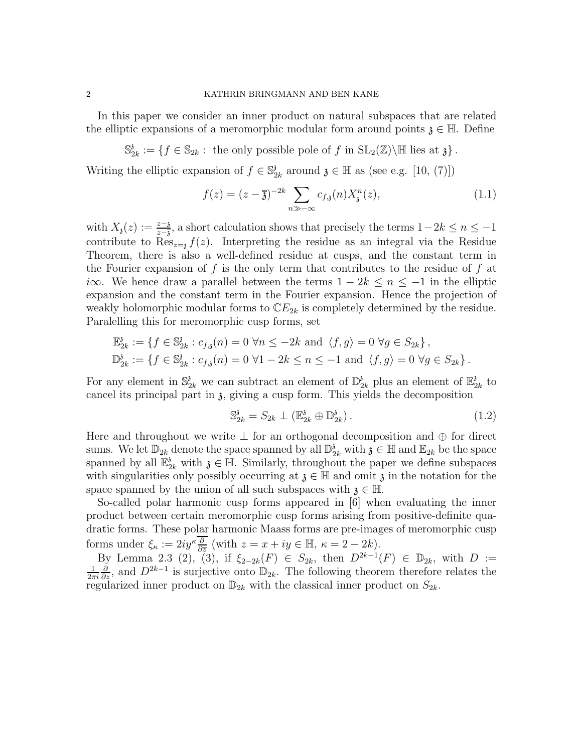In this paper we consider an inner product on natural subspaces that are related the elliptic expansions of a meromorphic modular form around points  $\mathfrak{z} \in \mathbb{H}$ . Define

 $\mathbb{S}^3_2$  $S_{2k}$  :  $\{f \in \mathbb{S}_{2k} : \text{ the only possible pole of } f \text{ in } SL_2(\mathbb{Z})\backslash \mathbb{H} \text{ lies at } \mathfrak{z} \}.$ 

Writing the elliptic expansion of  $f \in \mathbb{S}^3$  $a_{2k}$  around  $\mathfrak{z} \in \mathbb{H}$  as (see e.g. [10, (7)])

$$
f(z) = (z - \overline{\mathfrak{z}})^{-2k} \sum_{n \gg -\infty} c_{f,\mathfrak{z}}(n) X_{\mathfrak{z}}^{n}(z), \qquad (1.1)
$$

with  $X_3(z) := \frac{z-3}{z-3}$ , a short calculation shows that precisely the terms  $1-2k \leq n \leq -1$ contribute to  $\text{Res}_{z=i} f(z)$ . Interpreting the residue as an integral via the Residue Theorem, there is also a well-defined residue at cusps, and the constant term in the Fourier expansion of f is the only term that contributes to the residue of f at i∞. We hence draw a parallel between the terms  $1 - 2k \le n \le -1$  in the elliptic expansion and the constant term in the Fourier expansion. Hence the projection of weakly holomorphic modular forms to  $\mathbb{C}E_{2k}$  is completely determined by the residue. Paralelling this for meromorphic cusp forms, set

$$
\mathbb{E}_{2k}^{\mathfrak{z}} := \{ f \in \mathbb{S}_{2k}^{\mathfrak{z}} : c_{f,\mathfrak{z}}(n) = 0 \,\,\forall n \leq -2k \text{ and } \langle f, g \rangle = 0 \,\,\forall g \in S_{2k} \},
$$
  

$$
\mathbb{D}_{2k}^{\mathfrak{z}} := \{ f \in \mathbb{S}_{2k}^{\mathfrak{z}} : c_{f,\mathfrak{z}}(n) = 0 \,\,\forall 1 - 2k \leq n \leq -1 \text{ and } \langle f, g \rangle = 0 \,\,\forall g \in S_{2k} \}.
$$

For any element in  $\mathbb{S}^3_{2k}$  we can subtract an element of  $\mathbb{D}^3_2$  $\frac{3}{2k}$  plus an element of  $\mathbb{E}_2^3$  $\frac{3}{2k}$  to cancel its principal part in z, giving a cusp form. This yields the decomposition

$$
\mathbb{S}_{2k}^3 = S_{2k} \perp (\mathbb{E}_{2k}^3 \oplus \mathbb{D}_{2k}^3). \tag{1.2}
$$

Here and throughout we write  $\perp$  for an orthogonal decomposition and  $\oplus$  for direct sums. We let  $\mathbb{D}_{2k}$  denote the space spanned by all  $\mathbb{D}_{2k}$  with  $\mathfrak{z} \in \mathbb{H}$  and  $\mathbb{E}_{2k}$  be the space spanned by all  $\mathbb{E}_{2k}^3$  with  $\mathfrak{z} \in \mathbb{H}$ . Similarly, throughout the paper we define subspaces with singularities only possibly occurring at  $\mathfrak{z} \in \mathbb{H}$  and omit  $\mathfrak{z}$  in the notation for the space spanned by the union of all such subspaces with  $\mathfrak{z} \in \mathbb{H}$ .

So-called polar harmonic cusp forms appeared in [6] when evaluating the inner product between certain meromorphic cusp forms arising from positive-definite quadratic forms. These polar harmonic Maass forms are pre-images of meromorphic cusp forms under  $\xi_{\kappa} := 2iy^{\kappa} \frac{\partial}{\partial \overline{z}}$  (with  $z = x + iy \in \mathbb{H}$ ,  $\kappa = 2 - 2k$ ).

By Lemma 2.3 (2), (3), if  $\xi_{2-2k}(F) \in S_{2k}$ , then  $D^{2k-1}(F) \in \mathbb{D}_{2k}$ , with  $D := \frac{1}{2}$  and  $D^{2k-1}$  is surjective onto  $\mathbb{D}_{2k}$ . The following theorem therefore relates the  $2\pi i$  $\frac{\partial}{\partial z}$ , and  $D^{2k-1}$  is surjective onto  $\mathbb{D}_{2k}$ . The following theorem therefore relates the regularized inner product on  $\mathbb{D}_{2k}$  with the classical inner product on  $S_{2k}$ .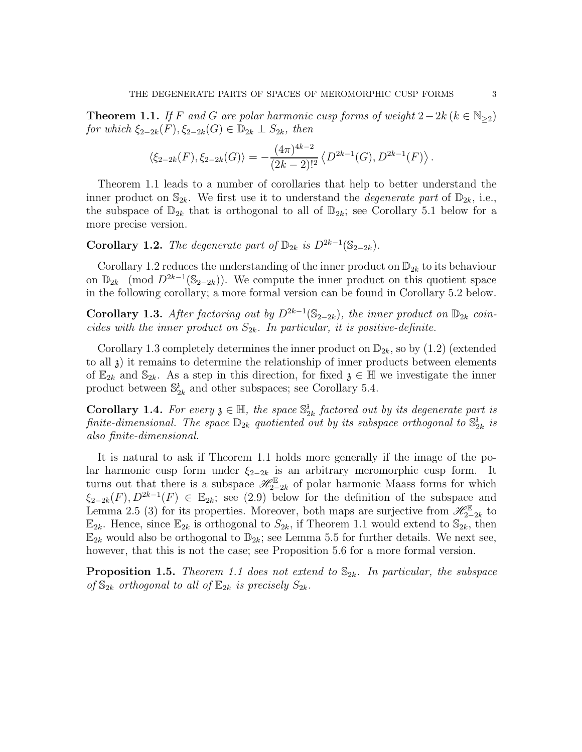**Theorem 1.1.** If F and G are polar harmonic cusp forms of weight  $2-2k$  ( $k \in \mathbb{N}_{\geq 2}$ ) for which  $\xi_{2-2k}(F), \xi_{2-2k}(G) \in \mathbb{D}_{2k} \perp S_{2k}$ , then

$$
\langle \xi_{2-2k}(F), \xi_{2-2k}(G) \rangle = -\frac{(4\pi)^{4k-2}}{(2k-2)!^2} \langle D^{2k-1}(G), D^{2k-1}(F) \rangle.
$$

Theorem 1.1 leads to a number of corollaries that help to better understand the inner product on  $\mathbb{S}_{2k}$ . We first use it to understand the *degenerate part* of  $\mathbb{D}_{2k}$ , i.e., the subspace of  $\mathbb{D}_{2k}$  that is orthogonal to all of  $\mathbb{D}_{2k}$ ; see Corollary 5.1 below for a more precise version.

Corollary 1.2. The degenerate part of  $\mathbb{D}_{2k}$  is  $D^{2k-1}(\mathbb{S}_{2-2k})$ .

Corollary 1.2 reduces the understanding of the inner product on  $\mathbb{D}_{2k}$  to its behaviour on  $\mathbb{D}_{2k}$  (mod  $D^{2k-1}(\mathbb{S}_{2-2k})$ ). We compute the inner product on this quotient space in the following corollary; a more formal version can be found in Corollary 5.2 below.

Corollary 1.3. After factoring out by  $D^{2k-1}(\mathbb{S}_{2-2k})$ , the inner product on  $\mathbb{D}_{2k}$  coincides with the inner product on  $S_{2k}$ . In particular, it is positive-definite.

Corollary 1.3 completely determines the inner product on  $\mathbb{D}_{2k}$ , so by  $(1.2)$  (extended to all  $\lambda$ ) it remains to determine the relationship of inner products between elements of  $\mathbb{E}_{2k}$  and  $\mathbb{S}_{2k}$ . As a step in this direction, for fixed  $\mathfrak{z} \in \mathbb{H}$  we investigate the inner product between  $\mathbb{S}^3_2$  $\frac{3}{2k}$  and other subspaces; see Corollary 5.4.

**Corollary 1.4.** For every  $\mathfrak{z} \in \mathbb{H}$ , the space  $\mathbb{S}_2^3$  $\frac{3}{2k}$  factored out by its degenerate part is finite-dimensional. The space  $\mathbb{D}_{2k}$  quotiented out by its subspace orthogonal to  $\mathbb{S}_2^3$  $\frac{3}{2k}$  is also finite-dimensional.

It is natural to ask if Theorem 1.1 holds more generally if the image of the polar harmonic cusp form under  $\xi_{2-2k}$  is an arbitrary meromorphic cusp form. It turns out that there is a subspace  $\mathscr{H}_{2-2k}^{\mathbb{E}}$  of polar harmonic Maass forms for which  $\xi_{2-2k}(F), D^{2k-1}(F) \in \mathbb{E}_{2k}$ ; see (2.9) below for the definition of the subspace and Lemma 2.5 (3) for its properties. Moreover, both maps are surjective from  $\mathscr{H}_{2-2k}^{\mathbb{E}}$  to  $\mathbb{E}_{2k}$ . Hence, since  $\mathbb{E}_{2k}$  is orthogonal to  $S_{2k}$ , if Theorem 1.1 would extend to  $\mathbb{S}_{2k}$ , then  $\mathbb{E}_{2k}$  would also be orthogonal to  $\mathbb{D}_{2k}$ ; see Lemma 5.5 for further details. We next see, however, that this is not the case; see Proposition 5.6 for a more formal version.

**Proposition 1.5.** Theorem 1.1 does not extend to  $\mathbb{S}_{2k}$ . In particular, the subspace of  $\mathbb{S}_{2k}$  orthogonal to all of  $\mathbb{E}_{2k}$  is precisely  $S_{2k}$ .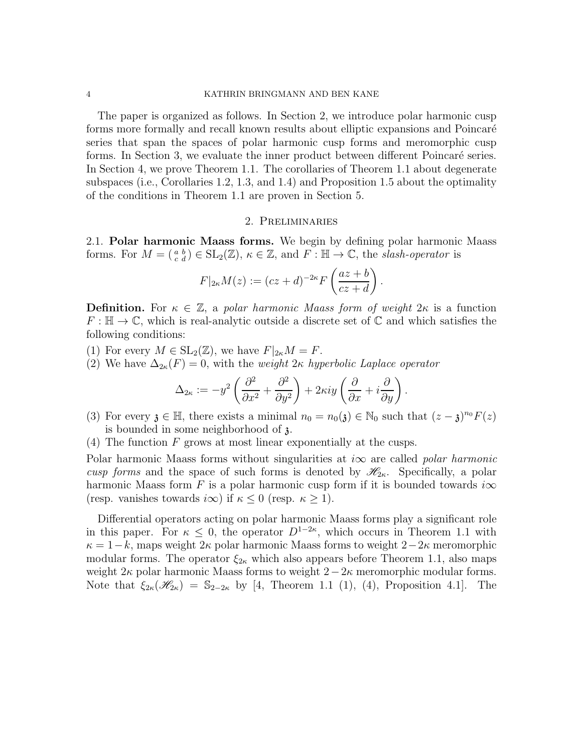#### 4 KATHRIN BRINGMANN AND BEN KANE

The paper is organized as follows. In Section 2, we introduce polar harmonic cusp forms more formally and recall known results about elliptic expansions and Poincaré series that span the spaces of polar harmonic cusp forms and meromorphic cusp forms. In Section 3, we evaluate the inner product between different Poincaré series. In Section 4, we prove Theorem 1.1. The corollaries of Theorem 1.1 about degenerate subspaces (i.e., Corollaries 1.2, 1.3, and 1.4) and Proposition 1.5 about the optimality of the conditions in Theorem 1.1 are proven in Section 5.

## 2. Preliminaries

2.1. Polar harmonic Maass forms. We begin by defining polar harmonic Maass forms. For  $M = \begin{pmatrix} a & b \\ c & d \end{pmatrix} \in SL_2(\mathbb{Z}), \ \kappa \in \mathbb{Z}$ , and  $F : \mathbb{H} \to \mathbb{C}$ , the slash-operator is

$$
F|_{2\kappa}M(z) := (cz+d)^{-2\kappa}F\left(\frac{az+b}{cz+d}\right).
$$

**Definition.** For  $\kappa \in \mathbb{Z}$ , a polar harmonic Maass form of weight  $2\kappa$  is a function  $F : \mathbb{H} \to \mathbb{C}$ , which is real-analytic outside a discrete set of  $\mathbb{C}$  and which satisfies the following conditions:

(1) For every  $M \in SL_2(\mathbb{Z})$ , we have  $F|_{2\kappa}M = F$ .

(2) We have  $\Delta_{2\kappa}(F) = 0$ , with the *weight*  $2\kappa$  *hyperbolic Laplace operator* 

$$
\Delta_{2\kappa} := -y^2 \left( \frac{\partial^2}{\partial x^2} + \frac{\partial^2}{\partial y^2} \right) + 2\kappa i y \left( \frac{\partial}{\partial x} + i \frac{\partial}{\partial y} \right).
$$

- (3) For every  $\mathfrak{z} \in \mathbb{H}$ , there exists a minimal  $n_0 = n_0(\mathfrak{z}) \in \mathbb{N}_0$  such that  $(z \mathfrak{z})^{n_0} F(z)$ is bounded in some neighborhood of z.
- (4) The function  $F$  grows at most linear exponentially at the cusps.

Polar harmonic Maass forms without singularities at  $i\infty$  are called *polar harmonic* cusp forms and the space of such forms is denoted by  $\mathscr{H}_{2\kappa}$ . Specifically, a polar harmonic Maass form F is a polar harmonic cusp form if it is bounded towards  $i\infty$ (resp. vanishes towards  $i\infty$ ) if  $\kappa \leq 0$  (resp.  $\kappa \geq 1$ ).

Differential operators acting on polar harmonic Maass forms play a significant role in this paper. For  $\kappa \leq 0$ , the operator  $D^{1-2\kappa}$ , which occurs in Theorem 1.1 with  $\kappa = 1 - k$ , maps weight  $2\kappa$  polar harmonic Maass forms to weight  $2 - 2\kappa$  meromorphic modular forms. The operator  $\xi_{2\kappa}$  which also appears before Theorem 1.1, also maps weight  $2\kappa$  polar harmonic Maass forms to weight  $2-2\kappa$  meromorphic modular forms. Note that  $\xi_{2\kappa}(\mathscr{H}_{2\kappa}) = \mathbb{S}_{2-2\kappa}$  by [4, Theorem 1.1 (1), (4), Proposition 4.1]. The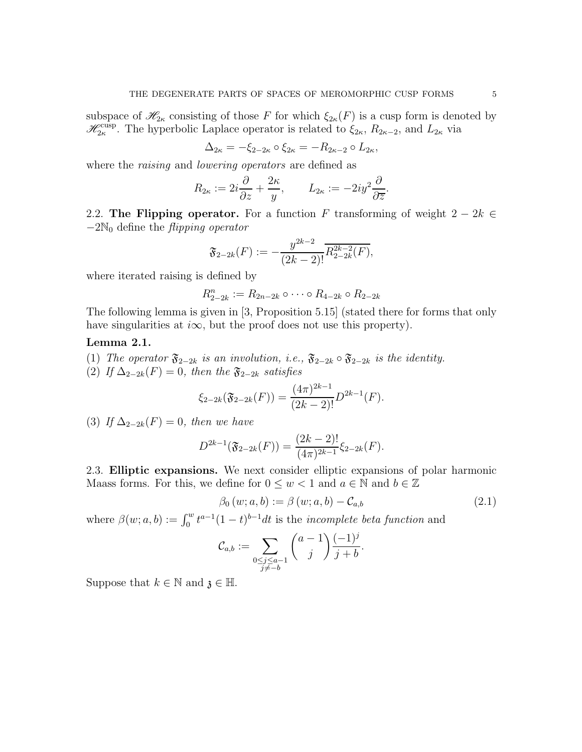subspace of  $\mathscr{H}_{2\kappa}$  consisting of those F for which  $\xi_{2\kappa}(F)$  is a cusp form is denoted by  $\mathscr{H}_{2\kappa}^{\text{cusp}}$ . The hyperbolic Laplace operator is related to  $\xi_{2\kappa}$ ,  $R_{2\kappa-2}$ , and  $L_{2\kappa}$  via

$$
\Delta_{2\kappa} = -\xi_{2-2\kappa} \circ \xi_{2\kappa} = -R_{2\kappa-2} \circ L_{2\kappa},
$$

where the *raising* and *lowering operators* are defined as

$$
R_{2\kappa} := 2i\frac{\partial}{\partial z} + \frac{2\kappa}{y}, \qquad L_{2\kappa} := -2iy^2\frac{\partial}{\partial \overline{z}}.
$$

2.2. The Flipping operator. For a function F transforming of weight  $2 - 2k \in$  $-2\mathbb{N}_0$  define the *flipping operator* 

$$
\mathfrak{F}_{2-2k}(F):=-\frac{y^{2k-2}}{(2k-2)!}\overline{R_{2-2k}^{2k-2}(F)},
$$

where iterated raising is defined by

$$
R_{2-2k}^n := R_{2n-2k} \circ \cdots \circ R_{4-2k} \circ R_{2-2k}
$$

The following lemma is given in [3, Proposition 5.15] (stated there for forms that only have singularities at  $i\infty$ , but the proof does not use this property).

## Lemma 2.1.

(1) The operator  $\mathfrak{F}_{2-2k}$  is an involution, i.e.,  $\mathfrak{F}_{2-2k} \circ \mathfrak{F}_{2-2k}$  is the identity.

(2) If  $\Delta_{2-2k}(F) = 0$ , then the  $\mathfrak{F}_{2-2k}$  satisfies

$$
\xi_{2-2k}(\mathfrak{F}_{2-2k}(F)) = \frac{(4\pi)^{2k-1}}{(2k-2)!}D^{2k-1}(F).
$$

(3) If  $\Delta_{2-2k}(F) = 0$ , then we have

$$
D^{2k-1}(\mathfrak{F}_{2-2k}(F)) = \frac{(2k-2)!}{(4\pi)^{2k-1}} \xi_{2-2k}(F).
$$

2.3. Elliptic expansions. We next consider elliptic expansions of polar harmonic Maass forms. For this, we define for  $0 \leq w < 1$  and  $a \in \mathbb{N}$  and  $b \in \mathbb{Z}$ 

$$
\beta_0(w;a,b) := \beta(w;a,b) - C_{a,b} \tag{2.1}
$$

where  $\beta(w; a, b) := \int_0^w t^{a-1} (1-t)^{b-1} dt$  is the *incomplete beta function* and

$$
\mathcal{C}_{a,b} := \sum_{\substack{0 \le j \le a-1 \\ j \neq -b}} \binom{a-1}{j} \frac{(-1)^j}{j+b}.
$$

Suppose that  $k \in \mathbb{N}$  and  $\mathfrak{z} \in \mathbb{H}$ .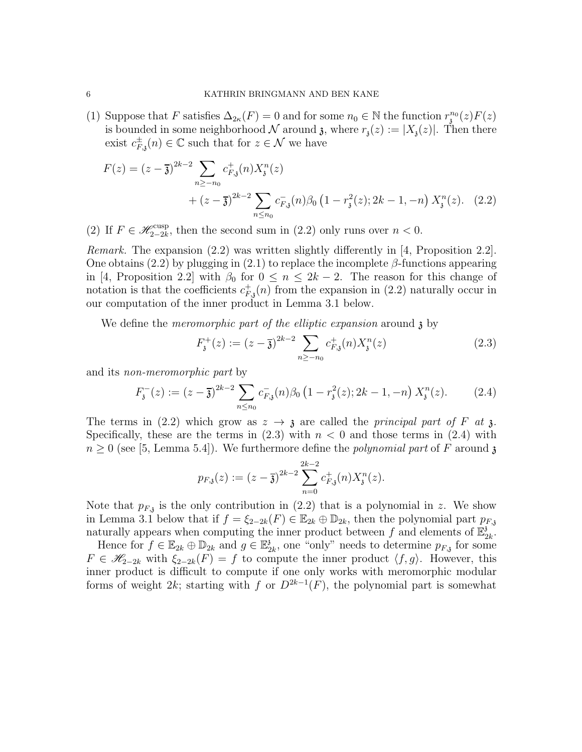(1) Suppose that F satisfies  $\Delta_{2\kappa}(F) = 0$  and for some  $n_0 \in \mathbb{N}$  the function  $r_i^{n_0}(z)F(z)$ is bounded in some neighborhood N around  $\mathfrak{z}$ , where  $r_{\mathfrak{z}}(z) := |X_{\mathfrak{z}}(z)|$ . Then there exist  $c_{F, \mathfrak{z}}^{\pm}(n) \in \mathbb{C}$  such that for  $z \in \mathcal{N}$  we have

$$
F(z) = (z - \overline{3})^{2k-2} \sum_{n \ge -n_0} c_{F,3}^+(n) X_3^n(z) + (z - \overline{3})^{2k-2} \sum_{n \le n_0} c_{F,3}^-(n) \beta_0 \left(1 - r_3^2(z); 2k - 1, -n\right) X_3^n(z). \tag{2.2}
$$

(2) If  $F \in \mathscr{H}_{2-2k}^{\text{cusp}}$ , then the second sum in (2.2) only runs over  $n < 0$ .

Remark. The expansion (2.2) was written slightly differently in [4, Proposition 2.2]. One obtains (2.2) by plugging in (2.1) to replace the incomplete  $\beta$ -functions appearing in [4, Proposition 2.2] with  $\beta_0$  for  $0 \leq n \leq 2k-2$ . The reason for this change of notation is that the coefficients  $c_{F, \mathbf{j}}^+(n)$  from the expansion in (2.2) naturally occur in our computation of the inner product in Lemma 3.1 below.

We define the *meromorphic part of the elliptic expansion* around  $\chi$  by

$$
F_{\mathfrak{z}}^{+}(z) := (z - \overline{\mathfrak{z}})^{2k-2} \sum_{n \ge -n_0} c_{F,\mathfrak{z}}^{+}(n) X_{\mathfrak{z}}^{n}(z)
$$
 (2.3)

and its non-meromorphic part by

$$
F_{\mathfrak{z}}^{-}(z) := (z - \overline{\mathfrak{z}})^{2k-2} \sum_{n \le n_0} c_{F,\mathfrak{z}}^{-}(n) \beta_0 \left(1 - r_{\mathfrak{z}}^{2}(z); 2k - 1, -n\right) X_{\mathfrak{z}}^{n}(z). \tag{2.4}
$$

The terms in (2.2) which grow as  $z \to z$  are called the *principal part of* F at z. Specifically, these are the terms in  $(2.3)$  with  $n < 0$  and those terms in  $(2.4)$  with  $n \geq 0$  (see [5, Lemma 5.4]). We furthermore define the *polynomial part* of F around  $\mathfrak{z}$ 

$$
p_{F,\mathfrak{z}}(z) := (z - \overline{\mathfrak{z}})^{2k-2} \sum_{n=0}^{2k-2} c_{F,\mathfrak{z}}^+(n) X_{\mathfrak{z}}^n(z).
$$

Note that  $p_{F,3}$  is the only contribution in (2.2) that is a polynomial in z. We show in Lemma 3.1 below that if  $f = \xi_{2-2k}(F) \in \mathbb{E}_{2k} \oplus \mathbb{D}_{2k}$ , then the polynomial part  $p_{F,3}$ naturally appears when computing the inner product between f and elements of  $\mathbb{E}^3$  $_{2k}^{\mathfrak z}$  .

Hence for  $f \in \mathbb{E}_{2k} \oplus \mathbb{D}_{2k}$  and  $g \in \mathbb{E}_2^3$  $\frac{3}{2k}$ , one "only" needs to determine  $p_{F,3}$  for some  $F \in \mathscr{H}_{2-2k}$  with  $\xi_{2-2k}(F) = f$  to compute the inner product  $\langle f, g \rangle$ . However, this inner product is difficult to compute if one only works with meromorphic modular forms of weight 2k; starting with f or  $D^{2k-1}(F)$ , the polynomial part is somewhat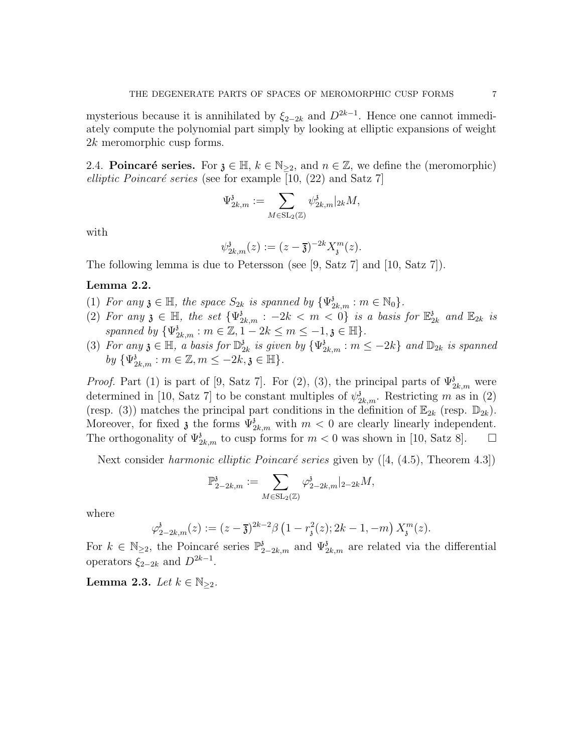mysterious because it is annihilated by  $\xi_{2-2k}$  and  $D^{2k-1}$ . Hence one cannot immediately compute the polynomial part simply by looking at elliptic expansions of weight 2k meromorphic cusp forms.

2.4. **Poincaré series.** For  $\mathfrak{z} \in \mathbb{H}$ ,  $k \in \mathbb{N}_{\geq 2}$ , and  $n \in \mathbb{Z}$ , we define the (meromorphic) elliptic Poincaré series (see for example [10, (22) and Satz 7]

$$
\Psi_{2k,m}^{\mathfrak z}:=\sum_{M\in \mathrm{SL}_2(\mathbb Z)} \psi_{2k,m}^{\mathfrak z}|_{2k}M,
$$

with

$$
\psi_{2k,m}^{\delta}(z) := (z - \overline{\mathfrak{z}})^{-2k} X_{\mathfrak{z}}^m(z).
$$

The following lemma is due to Petersson (see [9, Satz 7] and [10, Satz 7]).

## Lemma 2.2.

- (1) For any  $\mathfrak{z} \in \mathbb{H}$ , the space  $S_{2k}$  is spanned by  $\{\Psi_{2k,m}^{\mathfrak{z}} : m \in \mathbb{N}_0\}$ .
- (2) For any  $\mathfrak{z} \in \mathbb{H}$ , the set  $\{\Psi_{2k,m}^{\mathfrak{z}}: -2k < m < 0\}$  is a basis for  $\mathbb{E}_2^{\mathfrak{z}}$  $_{2k}^3$  and  $\mathbb{E}_{2k}$  is spanned by  $\{\Psi_{2k,m}^3 : m \in \mathbb{Z}, 1-2k \leq m \leq -1, \mathfrak{z} \in \mathbb{H}\}.$
- (3) For any  $\mathfrak{z} \in \mathbb{H}$ , a basis for  $\mathbb{D}_2^3$  $\frac{3}{2k}$  is given by  $\{\Psi_{2k,m}^3 : m \leq -2k\}$  and  $\mathbb{D}_{2k}$  is spanned by  $\{\Psi_{2k,m}^{\delta} : m \in \mathbb{Z}, m \leq -2k, \mathfrak{z} \in \mathbb{H}\}.$

*Proof.* Part (1) is part of [9, Satz 7]. For (2), (3), the principal parts of  $\Psi_{2k,m}^{3}$  were determined in [10, Satz 7] to be constant multiples of  $\psi_{2k,m}^{\delta}$ . Restricting m as in (2) (resp. (3)) matches the principal part conditions in the definition of  $\mathbb{E}_{2k}$  (resp.  $\mathbb{D}_{2k}$ ). Moreover, for fixed  $\mathfrak{z}$  the forms  $\Psi_{2k,m}^{\mathfrak{z}}$  with  $m < 0$  are clearly linearly independent. The orthogonality of  $\Psi_{2k,m}^3$  to cusp forms for  $m < 0$  was shown in [10, Satz 8].  $\Box$ 

Next consider *harmonic elliptic Poincaré series* given by  $([4, (4.5),$  Theorem 4.3])

$$
\mathbb{P}^{\mathfrak{z}}_{2-2k,m} := \sum_{M \in \mathrm{SL}_2(\mathbb{Z})} \varphi^{\mathfrak{z}}_{2-2k,m} |_{2-2k} M,
$$

where

$$
\varphi_{2-2k,m}^{\mathfrak{z}}(z) := (z - \overline{\mathfrak{z}})^{2k-2} \beta \left(1 - r_{\mathfrak{z}}^{2}(z); 2k - 1, -m\right) X_{\mathfrak{z}}^{m}(z).
$$

For  $k \in \mathbb{N}_{\geq 2}$ , the Poincaré series  $\mathbb{P}^3_{2-2k,m}$  and  $\Psi^3_{2k,m}$  are related via the differential operators  $\xi_{2-2k}$  and  $D^{2k-1}$ .

Lemma 2.3. Let  $k \in \mathbb{N}_{\geq 2}$ .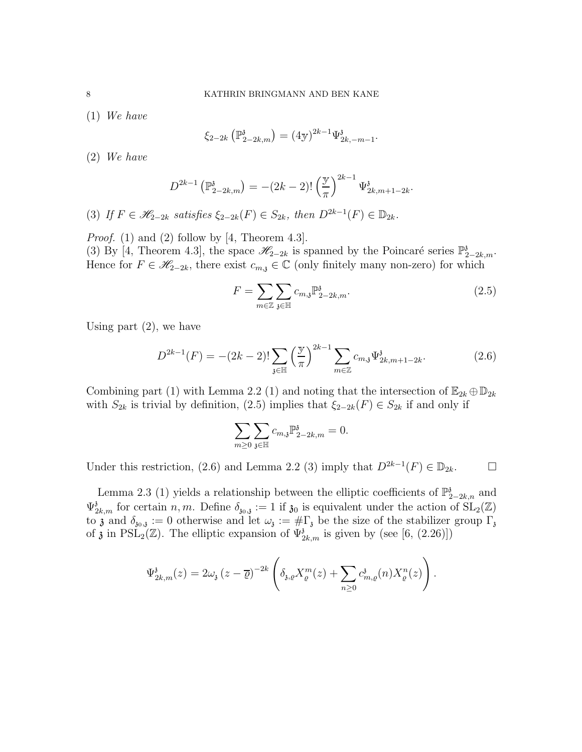(1) We have

$$
\xi_{2-2k} \left( \mathbb{P}_{2-2k,m}^{\mathfrak{z}} \right) = (4\mathbf{y})^{2k-1} \Psi_{2k,-m-1}^{\mathfrak{z}}.
$$

(2) We have

$$
D^{2k-1} \left( \mathbb{P}_{2-2k,m}^{\delta} \right) = -(2k-2)! \left( \frac{\mathbb{y}}{\pi} \right)^{2k-1} \Psi_{2k,m+1-2k}^{\delta}
$$

(3) If  $F \in \mathscr{H}_{2-2k}$  satisfies  $\xi_{2-2k}(F) \in S_{2k}$ , then  $D^{2k-1}(F) \in \mathbb{D}_{2k}$ .

*Proof.* (1) and (2) follow by [4, Theorem 4.3].

(3) By [4, Theorem 4.3], the space  $\mathscr{H}_{2-2k}$  is spanned by the Poincaré series  $\mathbb{P}^3_{2-2k,m}$ . Hence for  $F \in \mathscr{H}_{2-2k}$ , there exist  $c_{m,i} \in \mathbb{C}$  (only finitely many non-zero) for which

$$
F = \sum_{m \in \mathbb{Z}} \sum_{\mathfrak{z} \in \mathbb{H}} c_{m,\mathfrak{z}} \mathbb{P}_{2-2k,m}^{\mathfrak{z}}.
$$
 (2.5)

.

Using part  $(2)$ , we have

$$
D^{2k-1}(F) = -(2k-2)! \sum_{\mathfrak{z} \in \mathbb{H}} \left(\frac{\mathfrak{y}}{\pi}\right)^{2k-1} \sum_{m \in \mathbb{Z}} c_{m,\mathfrak{z}} \Psi_{2k,m+1-2k}^{\mathfrak{z}}.
$$
 (2.6)

Combining part (1) with Lemma 2.2 (1) and noting that the intersection of  $\mathbb{E}_{2k} \oplus \mathbb{D}_{2k}$ with  $S_{2k}$  is trivial by definition, (2.5) implies that  $\xi_{2-2k}(F) \in S_{2k}$  if and only if

$$
\sum_{m\geq 0}\sum_{\mathfrak{z}\in\mathbb{H}}c_{m,\mathfrak{z}}\mathbb{P}_{2-2k,m}^{\mathfrak{z}}=0.
$$

Under this restriction, (2.6) and Lemma 2.2 (3) imply that  $D^{2k-1}(F) \in \mathbb{D}_{2k}$ .  $\Box$ 

Lemma 2.3 (1) yields a relationship between the elliptic coefficients of  $\mathbb{P}^3_{2-2k,n}$  and  $\Psi_{2k,m}^3$  for certain n, m. Define  $\delta_{30,3} := 1$  if  $\mathfrak{z}_0$  is equivalent under the action of  $SL_2(\mathbb{Z})$ to **z** and  $\delta_{30,3} := 0$  otherwise and let  $\omega_i := \#\Gamma_i$  be the size of the stabilizer group  $\Gamma_i$ of  $\mathfrak{z}$  in PSL<sub>2</sub>( $\mathbb{Z}$ ). The elliptic expansion of  $\Psi_{2k,m}^{\mathfrak{z}}$  is given by (see [6, (2.26)])

$$
\Psi_{2k,m}^{\mathfrak{z}}(z) = 2\omega_{\mathfrak{z}}(z-\overline{\varrho})^{-2k} \left( \delta_{\mathfrak{z},\varrho} X_{\varrho}^{m}(z) + \sum_{n\geq 0} c_{m,\varrho}^{\mathfrak{z}}(n) X_{\varrho}^{n}(z) \right).
$$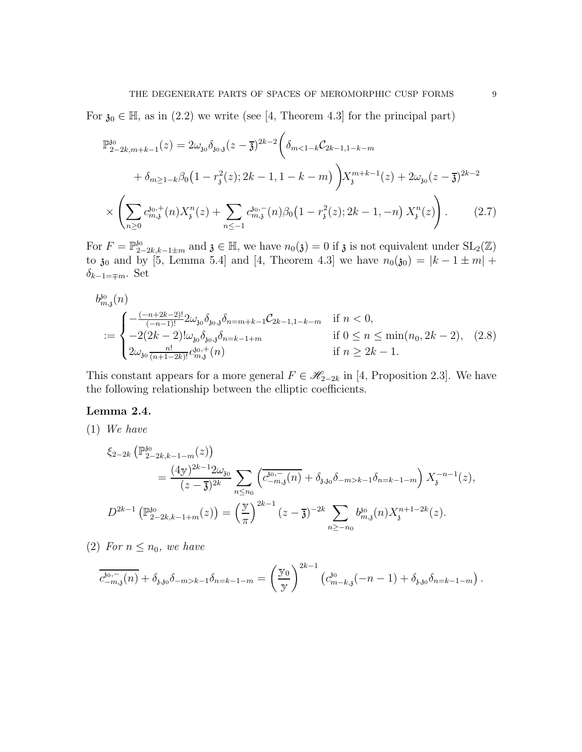For  $\mathfrak{z}_0 \in \mathbb{H}$ , as in (2.2) we write (see [4, Theorem 4.3] for the principal part)

$$
\mathbb{P}_{2-2k,m+k-1}^{30}(z) = 2\omega_{30}\delta_{30,3}(z-\overline{3})^{2k-2}\left(\delta_{m<1-k}\mathcal{C}_{2k-1,1-k-m} + \delta_{m\geq 1-k}\beta_0\left(1 - r_i^2(z); 2k-1, 1-k-m\right)\right)X_{\mathfrak{z}}^{m+k-1}(z) + 2\omega_{30}(z-\overline{3})^{2k-2}
$$

$$
\times \left(\sum_{n\geq 0} c_{m,\mathfrak{z}}^{30,+}(n)X_{\mathfrak{z}}^n(z) + \sum_{n\leq -1} c_{m,\mathfrak{z}}^{30,-}(n)\beta_0\left(1 - r_{\mathfrak{z}}^2(z); 2k-1, -n\right)X_{\mathfrak{z}}^n(z)\right). \tag{2.7}
$$

For  $F = \mathbb{P}_{2-2k,k-1\pm m}^{30}$  and  $\mathfrak{z} \in \mathbb{H}$ , we have  $n_0(\mathfrak{z}) = 0$  if  $\mathfrak{z}$  is not equivalent under  $SL_2(\mathbb{Z})$ to  $\mathfrak{z}_0$  and by [5, Lemma 5.4] and [4, Theorem 4.3] we have  $n_0(\mathfrak{z}_0) = |k - 1 \pm m| +$  $\delta_{k-1=\mp m}$ . Set

$$
b_{m,3}^{30}(n)
$$
  
\n
$$
:=\begin{cases}\n-\frac{(-n+2k-2)!}{(-n-1)!}2\omega_{30}\delta_{30,3}\delta_{n=m+k-1}\mathcal{C}_{2k-1,1-k-m} & \text{if } n < 0, \\
-2(2k-2)!\omega_{30}\delta_{30,3}\delta_{n=k-1+m} & \text{if } 0 \le n \le \min(n_0, 2k-2), \\
2\omega_{30}\frac{n!}{(n+1-2k)!}c_{m,3}^{30,+}(n) & \text{if } n \ge 2k-1.\n\end{cases}
$$
\n(2.8)

This constant appears for a more general  $F \in \mathcal{H}_{2-2k}$  in [4, Proposition 2.3]. We have the following relationship between the elliptic coefficients.

## Lemma 2.4.

(1) We have

$$
\xi_{2-2k} \left( \mathbb{P}_{2-2k,k-1-m}^{30}(z) \right)
$$
  
= 
$$
\frac{(4\mathbf{y})^{2k-1} 2\omega_{30}}{(z-\overline{\mathbf{y}})^{2k}} \sum_{n \le n_0} \left( \overline{c}_{-m,3}^{30,-}(n) + \delta_{3,30} \delta_{-m > k-1} \delta_{n=k-1-m} \right) X_{\mathbf{y}}^{-n-1}(z),
$$
  

$$
D^{2k-1} \left( \mathbb{P}_{2-2k,k-1+m}^{30}(z) \right) = \left( \frac{\mathbf{y}}{\pi} \right)^{2k-1} (z-\overline{\mathbf{y}})^{-2k} \sum_{n \ge -n_0} b_{m,3}^{30}(n) X_{\mathbf{y}}^{n+1-2k}(z).
$$

(2) For  $n \leq n_0$ , we have

$$
\overline{c_{-m,3}^{30,-}(n)} + \delta_{\mathfrak{z},\mathfrak{z}_0} \delta_{-m>k-1} \delta_{n=k-1-m} = \left(\frac{\mathbb{y}_0}{\mathbb{y}}\right)^{2k-1} \left(c_{m-k,\mathfrak{z}}^{30}(-n-1) + \delta_{\mathfrak{z},\mathfrak{z}_0} \delta_{n=k-1-m}\right).
$$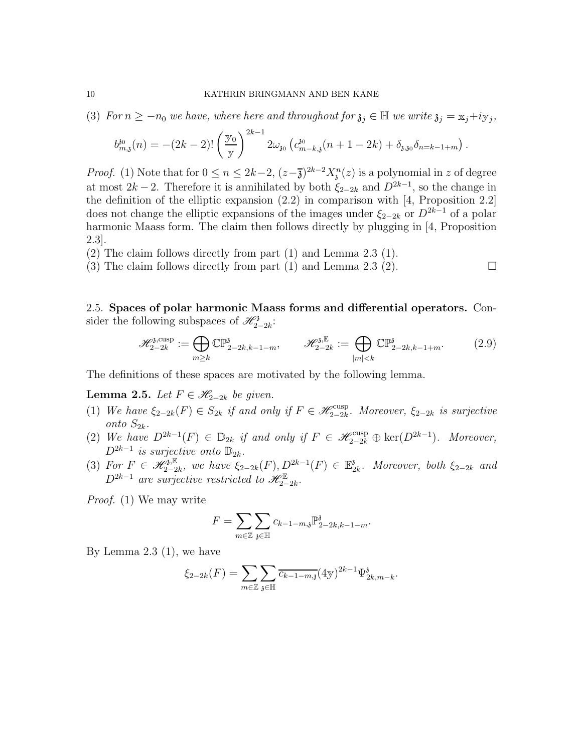(3) For  $n \geq -n_0$  we have, where here and throughout for  $\mathfrak{z}_j \in \mathbb{H}$  we write  $\mathfrak{z}_j = x_j + iy_j$ ,

$$
b_{m,\mathfrak{z}}^{\mathfrak{z}_0}(n) = -(2k-2)! \left(\frac{\mathfrak{y}_0}{\mathfrak{y}}\right)^{2k-1} 2\omega_{\mathfrak{z}_0} \left(c_{m-k,\mathfrak{z}}^{\mathfrak{z}_0}(n+1-2k) + \delta_{\mathfrak{z},\mathfrak{z}_0} \delta_{n=k-1+m}\right).
$$

*Proof.* (1) Note that for  $0 \le n \le 2k-2$ ,  $(z-\overline{\mathfrak{z}})^{2k-2}X_{\mathfrak{z}}^n(z)$  is a polynomial in z of degree at most  $2k-2$ . Therefore it is annihilated by both  $\xi_{2-2k}$  and  $D^{2k-1}$ , so the change in the definition of the elliptic expansion  $(2.2)$  in comparison with  $[4,$  Proposition 2.2] does not change the elliptic expansions of the images under  $\xi_{2-2k}$  or  $D^{2k-1}$  of a polar harmonic Maass form. The claim then follows directly by plugging in [4, Proposition 2.3].

(2) The claim follows directly from part (1) and Lemma 2.3 (1).

(3) The claim follows directly from part (1) and Lemma 2.3 (2).  $\Box$ 

2.5. Spaces of polar harmonic Maass forms and differential operators. Consider the following subspaces of  $\mathscr{H}_{2-2k}^3$ :

$$
\mathscr{H}_{2-2k}^{\mathfrak{z},\text{cusp}} := \bigoplus_{m \geq k} \mathbb{CP}_{2-2k,k-1-m}^{\mathfrak{z}}, \qquad \mathscr{H}_{2-2k}^{\mathfrak{z},\mathbb{E}} := \bigoplus_{|m| < k} \mathbb{CP}_{2-2k,k-1+m}^{\mathfrak{z}}.\tag{2.9}
$$

The definitions of these spaces are motivated by the following lemma.

**Lemma 2.5.** Let  $F \in \mathcal{H}_{2-2k}$  be given.

- (1) We have  $\xi_{2-2k}(F) \in S_{2k}$  if and only if  $F \in \mathscr{H}_{2-2k}^{\text{cusp}}$ . Moreover,  $\xi_{2-2k}$  is surjective onto  $S_{2k}$ .
- (2) We have  $D^{2k-1}(F) \in \mathbb{D}_{2k}$  if and only if  $F \in \mathscr{H}_{2-2k}^{\text{cusp}} \oplus \text{ker}(D^{2k-1})$ . Moreover,  $D^{2k-1}$  is surjective onto  $\mathbb{D}_{2k}$ .
- (3) For  $F \in \mathscr{H}_{2-2k}^{3,\mathbb{E}},$  we have  $\xi_{2-2k}(F), D^{2k-1}(F) \in \mathbb{E}_2^3$  $\frac{3}{2k}$ . Moreover, both  $\xi_{2-2k}$  and  $D^{2k-1}$  are surjective restricted to  $\mathscr{H}_{2-2k}^{\mathbb{E}}$ .

Proof. (1) We may write

$$
F=\sum_{m\in\mathbb{Z}}\sum_{\mathfrak{z}\in\mathbb{H}}c_{k-1-m,\mathfrak{z}}\mathbb{P}_{2-2k,k-1-m}^{\mathfrak{z}}.
$$

By Lemma 2.3 (1), we have

$$
\xi_{2-2k}(F) = \sum_{m \in \mathbb{Z}} \sum_{\mathfrak{z} \in \mathbb{H}} \overline{c_{k-1-m,\mathfrak{z}}}(4\mathfrak{y})^{2k-1} \Psi_{2k,m-k}^{\mathfrak{z}}.
$$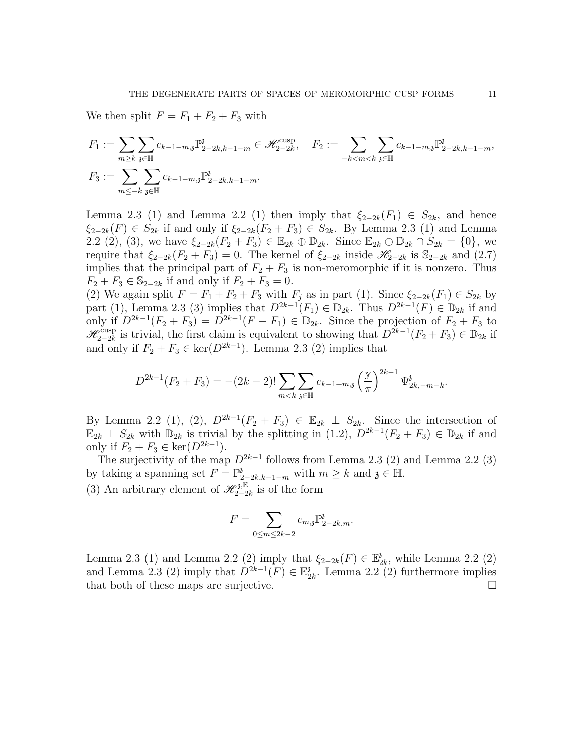We then split  $F = F_1 + F_2 + F_3$  with

$$
F_1 := \sum_{m \geq k} \sum_{\substack{\mathfrak{z} \in \mathbb{H} \\ \mathfrak{z} \neq 0}} c_{k-1-m,\mathfrak{z}} \mathbb{P}_{2-2k,k-1-m}^{\mathfrak{z}} \in \mathcal{H}_{2-2k}^{\text{cusp}}, \quad F_2 := \sum_{-k < m < k} \sum_{\substack{\mathfrak{z} \in \mathbb{H} \\ \mathfrak{z} \neq 0}} c_{k-1-m,\mathfrak{z}} \mathbb{P}_{2-2k,k-1-m}^{\mathfrak{z}},
$$
\n
$$
F_3 := \sum_{m \leq -k} \sum_{\substack{\mathfrak{z} \in \mathbb{H} \\ \mathfrak{z} \neq 0}} c_{k-1-m,\mathfrak{z}} \mathbb{P}_{2-2k,k-1-m}^{\mathfrak{z}}.
$$

Lemma 2.3 (1) and Lemma 2.2 (1) then imply that  $\xi_{2-2k}(F_1) \in S_{2k}$ , and hence  $\xi_{2-2k}(F) \in S_{2k}$  if and only if  $\xi_{2-2k}(F_2 + F_3) \in S_{2k}$ . By Lemma 2.3 (1) and Lemma 2.2 (2), (3), we have  $\xi_{2-2k}(F_2 + F_3) \in \mathbb{E}_{2k} \oplus \mathbb{D}_{2k}$ . Since  $\mathbb{E}_{2k} \oplus \mathbb{D}_{2k} \cap S_{2k} = \{0\}$ , we require that  $\xi_{2-2k}(F_2 + F_3) = 0$ . The kernel of  $\xi_{2-2k}$  inside  $\mathscr{H}_{2-2k}$  is  $\mathbb{S}_{2-2k}$  and (2.7) implies that the principal part of  $F_2 + F_3$  is non-meromorphic if it is nonzero. Thus  $F_2 + F_3 \in \mathbb{S}_{2-2k}$  if and only if  $F_2 + F_3 = 0$ .

(2) We again split  $F = F_1 + F_2 + F_3$  with  $F_j$  as in part (1). Since  $\xi_{2-2k}(F_1) \in S_{2k}$  by part (1), Lemma 2.3 (3) implies that  $D^{2k-1}(F_1) \in \mathbb{D}_{2k}$ . Thus  $D^{2k-1}(F) \in \mathbb{D}_{2k}$  if and only if  $D^{2k-1}(F_2 + F_3) = D^{2k-1}(F - F_1) \in \mathbb{D}_{2k}$ . Since the projection of  $F_2 + F_3$  to  $\mathscr{H}_{2-2k}^{\text{cusp}}$  is trivial, the first claim is equivalent to showing that  $D^{2k-1}(F_2 + F_3) \in \mathbb{D}_{2k}$  if and only if  $F_2 + F_3 \in \text{ker}(D^{2k-1})$ . Lemma 2.3 (2) implies that

$$
D^{2k-1}(F_2 + F_3) = -(2k-2)! \sum_{m < k} \sum_{\mathfrak{z} \in \mathbb{H}} c_{k-1+m,\mathfrak{z}} \left(\frac{\mathfrak{y}}{\pi}\right)^{2k-1} \Psi_{2k,-m-k}^{\mathfrak{z}}.
$$

By Lemma 2.2 (1), (2),  $D^{2k-1}(F_2 + F_3) \in \mathbb{E}_{2k} \perp S_{2k}$ . Since the intersection of  $\mathbb{E}_{2k} \perp S_{2k}$  with  $\mathbb{D}_{2k}$  is trivial by the splitting in  $(1.2)$ ,  $D^{2k-1}(F_2 + F_3) \in \mathbb{D}_{2k}$  if and only if  $F_2 + F_3 \in \text{ker}(D^{2k-1})$ .

The surjectivity of the map  $D^{2k-1}$  follows from Lemma 2.3 (2) and Lemma 2.2 (3) by taking a spanning set  $F = \mathbb{P}^3_{2-2k,k-1-m}$  with  $m \geq k$  and  $\mathfrak{z} \in \mathbb{H}$ . (3) An arbitrary element of  $\mathscr{H}_{2-2k}^{3,\mathbb{E}}$  is of the form

$$
F = \sum_{0 \le m \le 2k-2} c_{m,3} \mathbb{P}^3_{2-2k,m}.
$$

Lemma 2.3 (1) and Lemma 2.2 (2) imply that  $\xi_{2-2k}(F) \in \mathbb{E}_2^3$  $a_{2k}$ , while Lemma 2.2 (2) and Lemma 2.3 (2) imply that  $D^{2k-1}(F) \in \mathbb{E}_2^3$  $_{2k}^{3}$ . Lemma 2.2 (2) furthermore implies that both of these maps are surjective.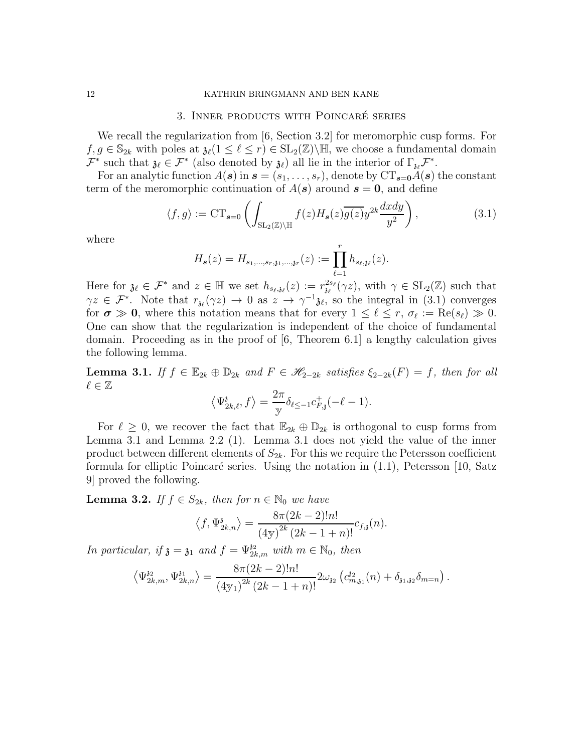### 12 KATHRIN BRINGMANN AND BEN KANE

## 3. INNER PRODUCTS WITH POINCARÉ SERIES

We recall the regularization from [6, Section 3.2] for meromorphic cusp forms. For  $f, g \in \mathbb{S}_{2k}$  with poles at  $\mathfrak{z}_{\ell}(1 \leq \ell \leq r) \in SL_2(\mathbb{Z})\backslash \mathbb{H}$ , we choose a fundamental domain  $\mathcal{F}^*$  such that  $\mathfrak{z}_{\ell} \in \mathcal{F}^*$  (also denoted by  $\mathfrak{z}_{\ell}$ ) all lie in the interior of  $\Gamma_{\mathfrak{z}_{\ell}}\mathcal{F}^*$ .

For an analytic function  $A(\mathbf{s})$  in  $\mathbf{s} = (s_1, \ldots, s_r)$ , denote by  $CT_{\mathbf{s}=\mathbf{0}}A(\mathbf{s})$  the constant term of the meromorphic continuation of  $A(s)$  around  $s = 0$ , and define

$$
\langle f, g \rangle := \mathrm{CT}_{s=0} \left( \int_{\mathrm{SL}_2(\mathbb{Z}) \backslash \mathbb{H}} f(z) H_s(z) \overline{g(z)} y^{2k} \frac{dxdy}{y^2} \right), \tag{3.1}
$$

where

$$
H_{s}(z) = H_{s_1,\ldots,s_r,\mathfrak{z}_1,\ldots,\mathfrak{z}_r}(z) := \prod_{\ell=1}^r h_{s_\ell,\mathfrak{z}_\ell}(z).
$$

Here for  $\mathfrak{z}_{\ell} \in \mathcal{F}^*$  and  $z \in \mathbb{H}$  we set  $h_{s_{\ell},\mathfrak{z}_{\ell}}(z) := r_{\mathfrak{z}_{\ell}}^{2s_{\ell}}(\gamma z)$ , with  $\gamma \in SL_2(\mathbb{Z})$  such that  $\gamma z \in \mathcal{F}^*$ . Note that  $r_{\mathfrak{z}_{\ell}}(\gamma z) \to 0$  as  $z \to \gamma^{-1} \mathfrak{z}_{\ell}$ , so the integral in (3.1) converges for  $\sigma \gg 0$ , where this notation means that for every  $1 \leq \ell \leq r$ ,  $\sigma_{\ell} := \text{Re}(s_{\ell}) \gg 0$ . One can show that the regularization is independent of the choice of fundamental domain. Proceeding as in the proof of [6, Theorem 6.1] a lengthy calculation gives the following lemma.

**Lemma 3.1.** If  $f \in \mathbb{E}_{2k} \oplus \mathbb{D}_{2k}$  and  $F \in \mathcal{H}_{2-2k}$  satisfies  $\xi_{2-2k}(F) = f$ , then for all  $\ell \in \mathbb{Z}$ 

$$
\left\langle \Psi_{2k,\ell}^{\mathfrak{z}},f\right\rangle =\frac{2\pi}{\mathrm{y}}\delta_{\ell\leq -1}c_{F,\mathfrak{z}}^{+}(-\ell-1).
$$

For  $\ell \geq 0$ , we recover the fact that  $\mathbb{E}_{2k} \oplus \mathbb{D}_{2k}$  is orthogonal to cusp forms from Lemma 3.1 and Lemma 2.2 (1). Lemma 3.1 does not yield the value of the inner product between different elements of  $S_{2k}$ . For this we require the Petersson coefficient formula for elliptic Poincaré series. Using the notation in  $(1.1)$ , Petersson [10, Satz 9] proved the following.

**Lemma 3.2.** If  $f \in S_{2k}$ , then for  $n \in \mathbb{N}_0$  we have

$$
\langle f, \Psi_{2k,n}^{\delta} \rangle = \frac{8\pi (2k-2)!n!}{(4\text{y})^{2k} (2k-1+n)!} c_{f,\delta}(n).
$$

In particular, if  $\mathfrak{z} = \mathfrak{z}_1$  and  $f = \Psi_{2k,m}^{32}$  with  $m \in \mathbb{N}_0$ , then

$$
\left\langle \Psi_{2k,m}^{3i}, \Psi_{2k,n}^{3i} \right\rangle = \frac{8\pi (2k-2)!n!}{\left(4\mathbf{y}_1\right)^{2k} \left(2k-1+n\right)!} 2\omega_{32} \left(c_{m,31}^{32}(n) + \delta_{31,32} \delta_{m=n}\right).
$$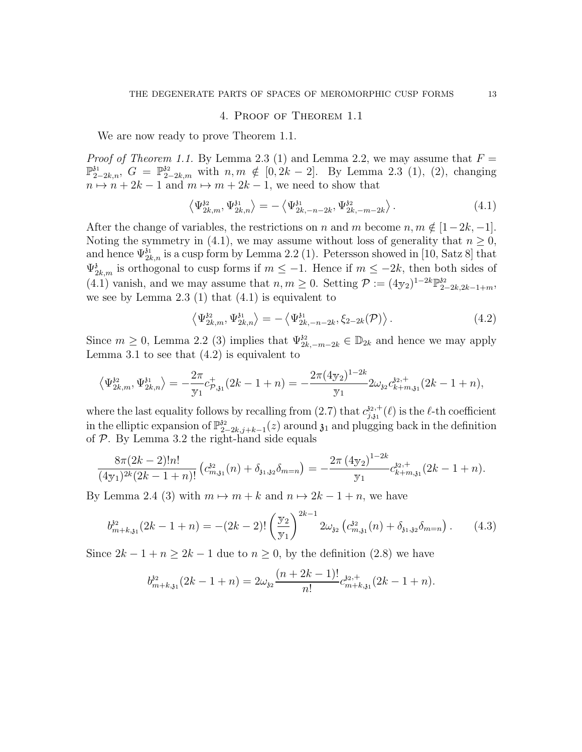## 4. Proof of Theorem 1.1

We are now ready to prove Theorem 1.1.

*Proof of Theorem 1.1.* By Lemma 2.3 (1) and Lemma 2.2, we may assume that  $F =$  $\mathbb{P}_{2-2k,n}^{31}$ ,  $G = \mathbb{P}_{2-2k,m}^{32}$  with  $n, m \notin [0, 2k-2]$ . By Lemma 2.3 (1), (2), changing  $n \mapsto n + 2k - 1$  and  $m \mapsto m + 2k - 1$ , we need to show that

$$
\left\langle \Psi_{2k,m}^{32}, \Psi_{2k,n}^{31} \right\rangle = -\left\langle \Psi_{2k,-n-2k}^{31}, \Psi_{2k,-m-2k}^{32} \right\rangle. \tag{4.1}
$$

After the change of variables, the restrictions on n and m become  $n, m \notin [1-2k, -1]$ . Noting the symmetry in (4.1), we may assume without loss of generality that  $n \geq 0$ , and hence  $\Psi_{2k,n}^{3i}$  is a cusp form by Lemma 2.2 (1). Petersson showed in [10, Satz 8] that  $\Psi_{2k,m}^{3}$  is orthogonal to cusp forms if  $m \leq -1$ . Hence if  $m \leq -2k$ , then both sides of  $(4.1)$  vanish, and we may assume that  $n, m \geq 0$ . Setting  $\mathcal{P} := (4 \text{y}_2)^{1-2k} \mathbb{P}_{2-2k,2k-1+m}^{32}$ , we see by Lemma  $2.3$  (1) that  $(4.1)$  is equivalent to

$$
\left\langle \Psi_{2k,m}^{32}, \Psi_{2k,n}^{31} \right\rangle = -\left\langle \Psi_{2k,-n-2k}^{31}, \xi_{2-2k}(\mathcal{P}) \right\rangle. \tag{4.2}
$$

Since  $m \geq 0$ , Lemma 2.2 (3) implies that  $\Psi_{2k,-m-2k}^{3i} \in \mathbb{D}_{2k}$  and hence we may apply Lemma 3.1 to see that  $(4.2)$  is equivalent to

$$
\left\langle \Psi_{2k,m}^{32},\Psi_{2k,n}^{31}\right\rangle =-\frac{2\pi}{\mathrm{y}_1}c_{\mathcal{P},31}^{+}(2k-1+n)=-\frac{2\pi(4\mathrm{y}_2)^{1-2k}}{\mathrm{y}_1}2\omega_{32}c_{k+m,31}^{32,+}(2k-1+n),
$$

where the last equality follows by recalling from  $(2.7)$  that  $c_{i,i}^{32,+}$  $j_{j,31}^{32,+}(\ell)$  is the  $\ell$ -th coefficient in the elliptic expansion of  $\mathbb{P}_2^{32}$  $\frac{\delta^2}{2-2k,j+k-1}(z)$  around  $\mathfrak{z}_1$  and plugging back in the definition of P. By Lemma 3.2 the right-hand side equals

$$
\frac{8\pi (2k-2)!n!}{(4y_1)^{2k}(2k-1+n)!} \left(c_{m,31}^{32}(n) + \delta_{31,32}\delta_{m=n}\right) = -\frac{2\pi (4y_2)^{1-2k}}{y_1}c_{k+m,31}^{32,+}(2k-1+n).
$$

By Lemma 2.4 (3) with  $m \mapsto m + k$  and  $n \mapsto 2k - 1 + n$ , we have

$$
b_{m+k,31}^{32}(2k-1+n) = -(2k-2)! \left(\frac{y_2}{y_1}\right)^{2k-1} 2\omega_{32} \left(c_{m,31}^{32}(n) + \delta_{31,32} \delta_{m=n}\right). \tag{4.3}
$$

Since  $2k - 1 + n \geq 2k - 1$  due to  $n \geq 0$ , by the definition (2.8) we have

$$
b_{m+k,31}^{32}(2k-1+n) = 2\omega_{32} \frac{(n+2k-1)!}{n!} c_{m+k,31}^{32,+}(2k-1+n).
$$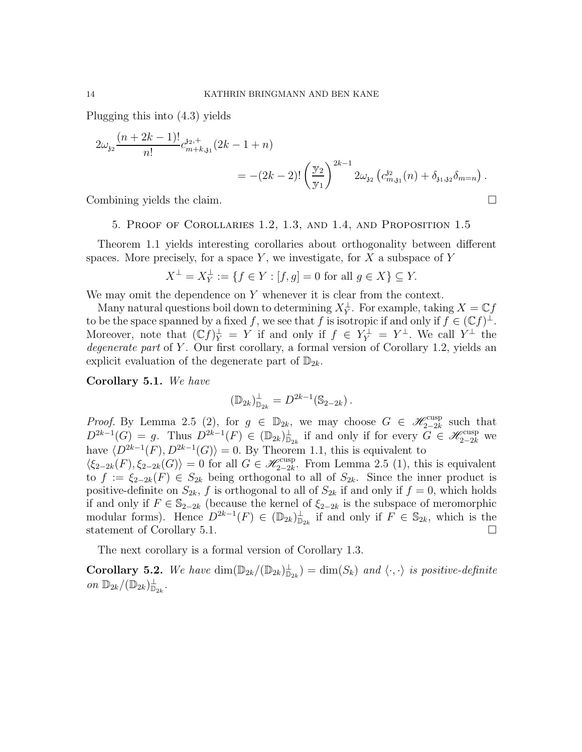Plugging this into (4.3) yields

$$
2\omega_{32} \frac{(n+2k-1)!}{n!} c_{m+k,31}^{32,+} (2k-1+n)
$$
  
= -(2k-2)!  $\left(\frac{y_2}{y_1}\right)^{2k-1} 2\omega_{32} (c_{m,31}^{32}(n) + \delta_{31,32} \delta_{m=n}).$ 

Combining yields the claim.

### 5. Proof of Corollaries 1.2, 1.3, and 1.4, and Proposition 1.5

Theorem 1.1 yields interesting corollaries about orthogonality between different spaces. More precisely, for a space  $Y$ , we investigate, for  $X$  a subspace of  $Y$ 

$$
X^{\perp} = X^{\perp}_Y := \{ f \in Y : [f, g] = 0 \text{ for all } g \in X \} \subseteq Y.
$$

We may omit the dependence on  $Y$  whenever it is clear from the context.

Many natural questions boil down to determining  $X_Y^{\perp}$ . For example, taking  $X = \mathbb{C} f$ to be the space spanned by a fixed f, we see that f is isotropic if and only if  $f \in (\mathbb{C}f)^{\perp}$ . Moreover, note that  $(\mathbb{C}f)^{\perp}_Y = Y$  if and only if  $f \in Y^{\perp}_Y = Y^{\perp}$ . We call  $Y^{\perp}$  the degenerate part of Y. Our first corollary, a formal version of Corollary 1.2, yields an explicit evaluation of the degenerate part of  $\mathbb{D}_{2k}$ .

Corollary 5.1. We have

$$
(\mathbb{D}_{2k})_{\mathbb{D}_{2k}}^{\perp} = D^{2k-1}(\mathbb{S}_{2-2k}).
$$

*Proof.* By Lemma 2.5 (2), for  $g \in \mathbb{D}_{2k}$ , we may choose  $G \in \mathcal{H}_{2-2k}^{\text{cusp}}$  such that  $D^{2k-1}(G) = g$ . Thus  $D^{2k-1}(F) \in (\mathbb{D}_{2k})^{\perp}_{\mathbb{D}_{2k}}$  if and only if for every  $G \in \mathscr{H}_{2-2k}^{\text{cusp}}$  we have  $\langle D^{2k-1}(F), D^{2k-1}(G) \rangle = 0$ . By Theorem 1.1, this is equivalent to  $\langle \xi_{2-2k}(F), \xi_{2-2k}(G) \rangle = 0$  for all  $G \in \mathscr{H}_{2-2k}^{\text{cusp}}$ . From Lemma 2.5 (1), this is equivalent

to  $f := \xi_{2-2k}(F) \in S_{2k}$  being orthogonal to all of  $S_{2k}$ . Since the inner product is positive-definite on  $S_{2k}$ , f is orthogonal to all of  $S_{2k}$  if and only if  $f = 0$ , which holds if and only if  $F \text{ ∈ } \mathbb{S}_{2-2k}$  (because the kernel of  $\xi_{2-2k}$  is the subspace of meromorphic modular forms). Hence  $D^{2k-1}(F) \in (\mathbb{D}_{2k})^{\perp}_{\mathbb{D}_{2k}}$  if and only if  $F \in \mathbb{S}_{2k}$ , which is the statement of Corollary 5.1.

The next corollary is a formal version of Corollary 1.3.

**Corollary 5.2.** We have  $\dim(\mathbb{D}_{2k}/(\mathbb{D}_{2k})_{\mathbb{D}_{2k}}) = \dim(S_k)$  and  $\langle \cdot, \cdot \rangle$  is positive-definite on  $\mathbb{D}_{2k}/(\mathbb{D}_{2k})_{\mathbb{D}_{2k}}^{\perp}$ .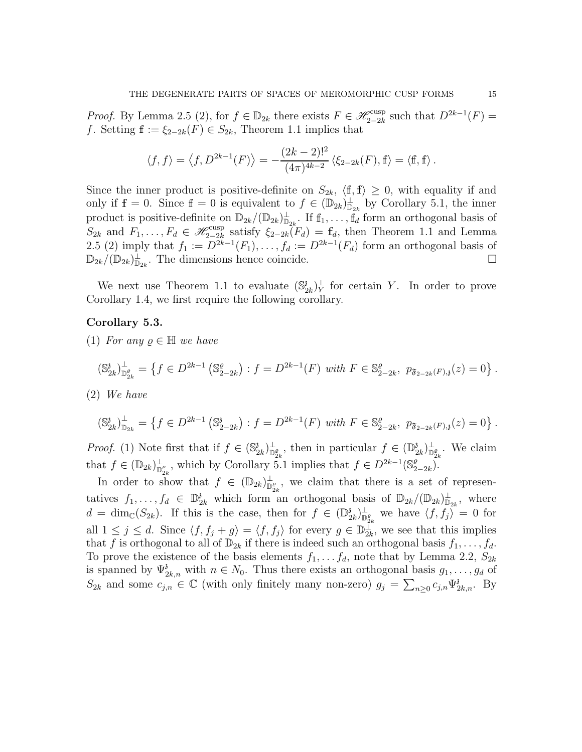*Proof.* By Lemma 2.5 (2), for  $f \in \mathbb{D}_{2k}$  there exists  $F \in \mathscr{H}_{2-2k}^{\text{cusp}}$  such that  $D^{2k-1}(F) =$ f. Setting  $f := \xi_{2-2k}(F) \in S_{2k}$ , Theorem 1.1 implies that

$$
\langle f, f \rangle = \langle f, D^{2k-1}(F) \rangle = -\frac{(2k-2)!^2}{(4\pi)^{4k-2}} \langle \xi_{2-2k}(F), \mathbf{f} \rangle = \langle \mathbf{f}, \mathbf{f} \rangle.
$$

Since the inner product is positive-definite on  $S_{2k}$ ,  $\langle f, f \rangle \geq 0$ , with equality if and only if  $f = 0$ . Since  $f = 0$  is equivalent to  $f \in (\mathbb{D}_{2k})^{\perp}_{\mathbb{D}_{2k}}$  by Corollary 5.1, the inner product is positive-definite on  $\mathbb{D}_{2k}/(\mathbb{D}_{2k})^{\perp}_{\mathbb{D}_{2k}}$ . If  $f_1,\ldots,f_d$  form an orthogonal basis of  $S_{2k}$  and  $F_1, \ldots, F_d \in \mathscr{H}_{2-2k}^{\text{cusp}}$  satisfy  $\xi_{2-2k}(F_d) = \mathbb{f}_d$ , then Theorem 1.1 and Lemma 2.5 (2) imply that  $f_1 := D^{2k-1}(F_1), \ldots, f_d := D^{2k-1}(F_d)$  form an orthogonal basis of  $\mathbb{D}_{2k}$   $(\mathbb{D}_{2k})_{\mathbb{D}_{2k}}^{\perp}$ . The dimensions hence coincide.

We next use Theorem 1.1 to evaluate  $(\mathbb{S}_2^3)$  $\frac{\partial}{\partial k}\Big|_Y^{\perp}$  for certain Y. In order to prove Corollary 1.4, we first require the following corollary.

## Corollary 5.3.

(1) For any  $\rho \in \mathbb{H}$  we have

$$
(\mathbb{S}_{2k}^{\mathfrak{z}})_{\mathbb{D}_{2k}^{\rho}}^{\perp} = \left\{ f \in D^{2k-1} \left( \mathbb{S}_{2-2k}^{\rho} \right) : f = D^{2k-1}(F) \text{ with } F \in \mathbb{S}_{2-2k}^{\rho}, \ p_{\mathfrak{F}_{2-2k}(F),\mathfrak{z}}(z) = 0 \right\}.
$$

(2) We have

$$
\left(\mathbb{S}^3_{2k}\right)^{\perp}_{\mathbb{D}_{2k}} = \left\{ f \in D^{2k-1}\left(\mathbb{S}^3_{2-2k}\right) : f = D^{2k-1}(F) \text{ with } F \in \mathbb{S}^{\varrho}_{2-2k}, \ p_{\mathfrak{F}_{2-2k}(F),\mathfrak{z}}(z) = 0 \right\}.
$$

*Proof.* (1) Note first that if  $f \in (\mathbb{S}_2^3)$  $\mathcal{L}_{2k}^{\delta}$ , then in particular  $f \in (\mathbb{D}_{2k}^{\delta})$  $\partial_{2k}^{\delta}\big)^{\perp}_{\mathbb{D}_{2k}^{\varrho}}$ . We claim that  $f \in (\mathbb{D}_{2k})^{\perp}_{\mathbb{D}_{2k}^{\varrho}}$ , which by Corollary 5.1 implies that  $f \in D^{2k-1}(\mathbb{S}_{2k}^{\varrho})$  $_{2-2k}^{\varrho}).$ 

In order to show that  $f \in (\mathbb{D}_{2k})^{\perp}_{\mathbb{D}_{2k}^{\rho}}$ , we claim that there is a set of representatives  $f_1, \ldots, f_d \in \mathbb{D}_{2k}^3$  which form an orthogonal basis of  $\mathbb{D}_{2k}/(\mathbb{D}_{2k})_{\mathbb{D}_{2k}}^{\perp}$ , where  $d = \dim_{\mathbb{C}}(S_{2k})$ . If this is the case, then for  $f \in (\mathbb{D}_{2k}^{3})$  $\binom{\delta}{2k} \mathbb{D}^{\ell}_{2k}$  we have  $\langle f, f_j \rangle = 0$  for all  $1 \leq j \leq d$ . Since  $\langle f, f_j + g \rangle = \langle f, f_j \rangle$  for every  $g \in \mathbb{D}_{2k}^{\perp}$ , we see that this implies that f is orthogonal to all of  $\mathbb{D}_{2k}$  if there is indeed such an orthogonal basis  $f_1, \ldots, f_d$ . To prove the existence of the basis elements  $f_1, \ldots, f_d$ , note that by Lemma 2.2,  $S_{2k}$ is spanned by  $\Psi_{2k,n}^{\delta}$  with  $n \in N_0$ . Thus there exists an orthogonal basis  $g_1, \ldots, g_d$  of  $S_{2k}$  and some  $c_{j,n} \in \mathbb{C}$  (with only finitely many non-zero)  $g_j = \sum_{n \geq 0} c_{j,n} \Psi_{2k,n}^{\delta}$ . By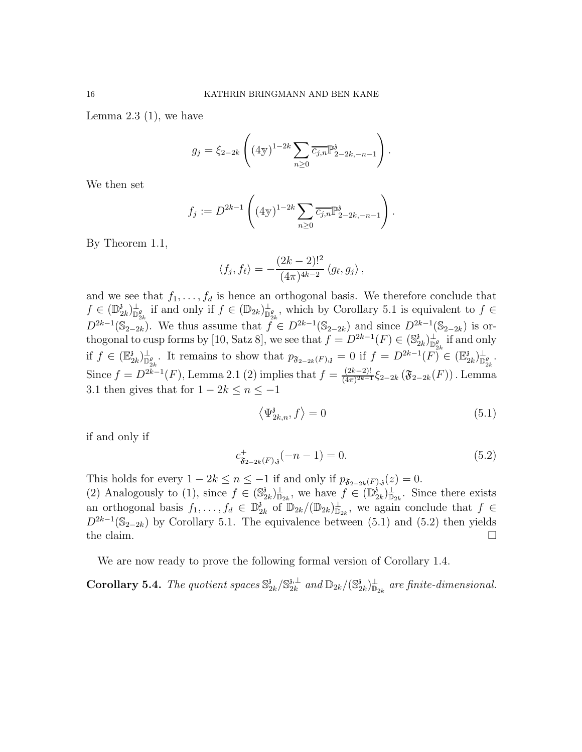Lemma  $2.3$  (1), we have

$$
g_j = \xi_{2-2k} \left( (4\mathbf{y})^{1-2k} \sum_{n \geq 0} \overline{c_{j,n}} \mathbb{P}^{\mathfrak{z}}_{2-2k,-n-1} \right).
$$

We then set

$$
f_j := D^{2k-1} \left( (4\mathbf{y})^{1-2k} \sum_{n \geq 0} \overline{c_{j,n}} \mathbb{P}^{\mathfrak{z}}_{2-2k,-n-1} \right).
$$

By Theorem 1.1,

$$
\langle f_j, f_\ell \rangle = -\frac{(2k-2)!^2}{(4\pi)^{4k-2}} \langle g_\ell, g_j \rangle,
$$

and we see that  $f_1, \ldots, f_d$  is hence an orthogonal basis. We therefore conclude that  $f \in (\mathbb{D}_2^3)$  $\mathcal{L}_{2k}^{\delta}$   $\bigcup_{\substack{p=0 \ p_{2k}}}^{\infty}$  if and only if  $f \in (\mathbb{D}_{2k})^{\perp}_{\mathbb{D}_{2k}^{\rho}}$ , which by Corollary 5.1 is equivalent to  $f \in$  $D^{2k-1}(\mathbb{S}_{2-2k})$ . We thus assume that  $f \in D^{2k-1}(\mathbb{S}_{2-2k})$  and since  $D^{2k-1}(\mathbb{S}_{2-2k})$  is orthogonal to cusp forms by [10, Satz 8], we see that  $f = D^{2k-1}(F) \in (\mathbb{S}_2^3)$  $\sum_{k=2k}^{3} \frac{1}{\log_2 k}$  if and only if  $f \in (\mathbb{E}_2^3)$  $2_k$ )<sup> $\perp$ </sup> $D_{2k}^e$ . It remains to show that  $p_{\mathfrak{F}_{2-2k}(F),\mathfrak{z}} = 0$  if  $f = D^{2k-1}(F)$ <sup>r</sup> $\in (\mathbb{E}_2^3)$  $\frac{3}{2k}$ ) $\frac{1}{\mathbb{D}_{2k}^{\varrho}}$ . Since  $f = D^{2k-1}(F)$ , Lemma 2.1 (2) implies that  $f = \frac{(2k-2)!}{(4\pi)^{2k-1}}$  $\frac{(2k-2)!}{(4\pi)^{2k-1}}\xi_{2-2k}(\mathfrak{F}_{2-2k}(F))$  . Lemma 3.1 then gives that for  $1 - 2k \le n \le -1$ 

$$
\left\langle \Psi_{2k,n}^{\mathfrak{z}},f\right\rangle =0 \tag{5.1}
$$

if and only if

$$
c_{\mathfrak{F}_{2-2k}(F),\mathfrak{z}}^{+}(-n-1) = 0. \tag{5.2}
$$

This holds for every  $1 - 2k \le n \le -1$  if and only if  $p_{\mathfrak{F}_{2-2k}(F),\mathfrak{z}}(z) = 0$ . (2) Analogously to (1), since  $f \in (\mathbb{S}_2^3)$  $(\mathbb{D}_{2k}^{\mathbf{i}})_{\mathbb{D}_{2k}}^{\perp}$ , we have  $f \in (\mathbb{D}_{2k}^{\mathbf{i}})$  $\sum_{k=2k}^{3}\frac{1}{2k}$ . Since there exists an orthogonal basis  $f_1, \ldots, f_d \in \mathbb{D}_2^3$  $\mathcal{L}_{2k}$  of  $\mathbb{D}_{2k}/(\mathbb{D}_{2k})_{\mathbb{D}_{2k}}^{\perp}$ , we again conclude that  $f \in$  $D^{2k-1}(\mathbb{S}_{2-2k})$  by Corollary 5.1. The equivalence between (5.1) and (5.2) then yields the claim.  $\square$ 

We are now ready to prove the following formal version of Corollary 1.4.

**Corollary 5.4.** The quotient spaces  $\mathbb{S}^3_2$  $_{2k}^{\mathfrak z}/\mathbb S_{2k}^{\mathfrak z,\perp}$  $_{2k}^{\mathfrak{z},\perp}$  and  $\mathbb{D}_{2k}/(\mathbb{S}_2^3)$  $\partial_{2k}^{\delta}\big)_{\mathbb{D}_{2k}}^{\bot}$  are finite-dimensional.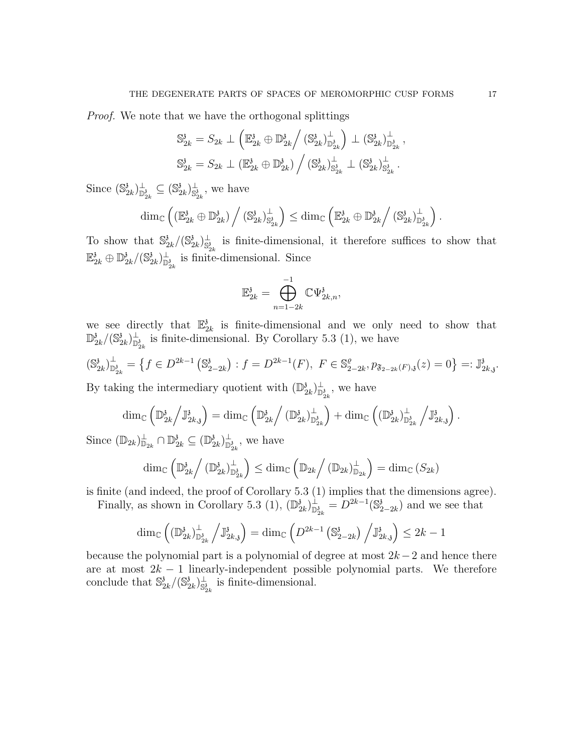Proof. We note that we have the orthogonal splittings

$$
\mathbb{S}_{2k}^{\mathfrak{z}} = S_{2k} \perp \left( \mathbb{E}_{2k}^{\mathfrak{z}} \oplus \mathbb{D}_{2k}^{\mathfrak{z}} \middle/ \left( \mathbb{S}_{2k}^{\mathfrak{z}} \right)_{\mathbb{D}_{2k}^{\mathfrak{z}}}^{\perp} \right) \perp \left( \mathbb{S}_{2k}^{\mathfrak{z}} \right)_{\mathbb{D}_{2k}^{\mathfrak{z}}}^{\perp},
$$
  

$$
\mathbb{S}_{2k}^{\mathfrak{z}} = S_{2k} \perp \left( \mathbb{E}_{2k}^{\mathfrak{z}} \oplus \mathbb{D}_{2k}^{\mathfrak{z}} \right) / \left( \mathbb{S}_{2k}^{\mathfrak{z}} \right)_{\mathbb{S}_{2k}^{\mathfrak{z}}}^{\perp} \perp \left( \mathbb{S}_{2k}^{\mathfrak{z}} \right)_{\mathbb{S}_{2k}^{\mathfrak{z}}}^{\perp}.
$$

Since  $(\mathbb{S}_2^3)$  $\frac{3}{2k}$ ) $\frac{1}{\mathbb{D}^3_{2k}} \subseteq (\mathbb{S}^3_2)$  $(\frac{\delta}{2k})_{\mathbb{S}_{2k}^{\delta}}^{\perp}$ , we have

$$
\dim_{\mathbb{C}}\left((\mathbb{E}_{2k}^{\mathfrak{z}}\oplus\mathbb{D}_{2k}^{\mathfrak{z}})\bigg/\left(\mathbb{S}_{2k}^{\mathfrak{z}}\right)_{\mathbb{S}_{2k}^{\mathfrak{z}}}^{\perp}\right)\leq\dim_{\mathbb{C}}\left(\mathbb{E}_{2k}^{\mathfrak{z}}\oplus\mathbb{D}_{2k}^{\mathfrak{z}}\right/\left(\mathbb{S}_{2k}^{\mathfrak{z}}\right)_{\mathbb{D}_{2k}^{\mathfrak{z}}}^{\perp}\right).
$$

To show that  $\mathbb{S}^3_2$  $\frac{3}{2k}/(\mathbb{S}_2^3)$  ${}^{\delta}_{2k}\big)^{\perp}_{\mathbb{S}^{\delta}_{2k}}$  is finite-dimensional, it therefore suffices to show that  $\mathbb{E}_{2k}^{\mathfrak{z}} \oplus \mathbb{D}_{2}^{\mathfrak{z}}$  $\frac{3}{2k}/(\mathbb{S}^3_2)$  $\binom{\delta}{2k} \mathbb{D}^{\delta}_{2k}$  is finite-dimensional. Since

$$
\mathbb{E}_{2k}^{\mathfrak{z}}=\bigoplus_{n=1-2k}^{-1}\mathbb{C}\Psi_{2k,n}^{\mathfrak{z}},
$$

we see directly that  $\mathbb{E}_{\zeta}^3$  $\frac{3}{2k}$  is finite-dimensional and we only need to show that  $\mathbb{D}_2^3$  $\frac{3}{2k}/(\mathbb{S}^3_2)$  $_{2k}^{3}\rangle_{\mathbb{D}_{2k}^{3}}^{\perp}$  is finite-dimensional. By Corollary 5.3 (1), we have

$$
(\mathbb{S}_{2k}^{\mathfrak{z}})_{\mathbb{D}_{2k}^{\mathfrak{z}}}^{\perp} = \left\{ f \in D^{2k-1} \left( \mathbb{S}_{2-2k}^{\mathfrak{z}} \right) : f = D^{2k-1}(F), \ F \in \mathbb{S}_{2-2k}^{\varrho}, p_{\mathfrak{F}_{2-2k}(F), \mathfrak{z}}(z) = 0 \right\} =: \mathbb{J}_{2k, \mathfrak{z}}^{\mathfrak{z}}.
$$

By taking the intermediary quotient with  $(\mathbb{D}_2^3)$  $\sum_{k=2k}^{3} \big|_{\mathbb{D}_{2k}^3}^{\perp}$ , we have

$$
\dim_{\mathbb{C}}\left(\mathbb{D}^3_{2k}\Big/\mathbb{J}^3_{2k,\mathfrak{z}}\right)=\dim_{\mathbb{C}}\left(\mathbb{D}^3_{2k}\Big/\left(\mathbb{D}^3_{2k}\right)^\perp_{\mathbb{D}^3_{2k}}\right)+\dim_{\mathbb{C}}\left(\left(\mathbb{D}^3_{2k}\right)^\perp_{\mathbb{D}^3_{2k}}\Big/\mathbb{J}^3_{2k,\mathfrak{z}}\right).
$$

Since  $(\mathbb{D}_{2k})_{\mathbb{D}_{2k}}^{\perp} \cap \mathbb{D}_{2k}^{\mathfrak{z}} \subseteq (\mathbb{D}_{2k}^{\mathfrak{z}})$  $(\frac{\delta}{2k})^{\perp}_{\mathbb{D}_{2k}^{\delta}}$ , we have

$$
\dim_{\mathbb{C}}\left(\mathbb{D}^3_{2k}\Big/\left(\mathbb{D}^3_{2k}\right)^{\perp}_{\mathbb{D}^3_{2k}}\right)\leq \dim_{\mathbb{C}}\left(\mathbb{D}_{2k}\Big/\left(\mathbb{D}_{2k}\right)^{\perp}_{\mathbb{D}_{2k}}\right)=\dim_{\mathbb{C}}\left(S_{2k}\right)
$$

is finite (and indeed, the proof of Corollary 5.3 (1) implies that the dimensions agree).

Finally, as shown in Corollary 5.3 (1),  $(\mathbb{D}_2^3)$  $\binom{\mathfrak{z}}{2k}^{\mathfrak{z}}_{2k}=\overline{D^{2k-1}}(\mathbb{S}^{\mathfrak{z}}_2)$  $\lambda_{2-2k}^{\delta}$  and we see that

$$
\dim_{\mathbb{C}}\left((\mathbb{D}^3_{2k})^\perp_{\mathbb{D}^3_{2k}}\left/\mathbb{J}^3_{2k,\mathfrak{z}}\right.\right)=\dim_{\mathbb{C}}\left(D^{2k-1}\left(\mathbb{S}^3_{2-2k}\right)\left/\mathbb{J}^3_{2k,\mathfrak{z}}\right)\leq 2k-1
$$

because the polynomial part is a polynomial of degree at most  $2k-2$  and hence there are at most  $2k - 1$  linearly-independent possible polynomial parts. We therefore conclude that  $\mathbb{S}^3_2$  $\frac{3}{2k}/(\mathbb{S}_2^3)$  $\binom{3}{2k}_{\mathbb{S}_{2k}^3}$  is finite-dimensional.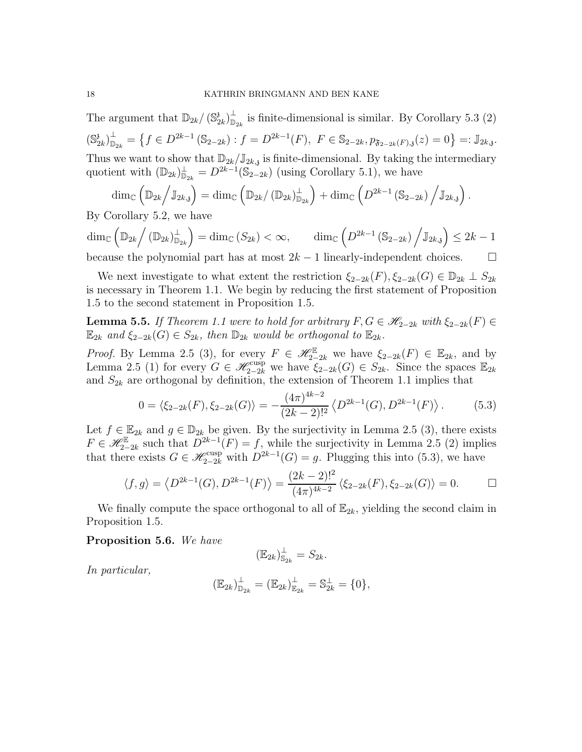The argument that  $\mathbb{D}_{2k}/(\mathbb{S}_2^3)$  $\left( \frac{3}{2k}\right) _{\mathbb{D}}^{\mathbb{L}}$  $\sum_{\mathbb{D}_{2k}}^{\mathbb{L}}$  is finite-dimensional is similar. By Corollary 5.3 (2)  $(\mathbb{S}^3_2)$  $\left( \frac{3}{2k}\right) _{\mathbb{D}}^{\bot }$  $\mathbb{D}_{2k}^{\perp} = \left\{ f \in D^{2k-1}(\mathbb{S}_{2-2k}) : f = D^{2k-1}(F), \ F \in \mathbb{S}_{2-2k}, p_{\mathfrak{F}_{2-2k}(F),\mathfrak{z}}(z) = 0 \right\} =: \mathbb{J}_{2k,\mathfrak{z}}.$ Thus we want to show that  $\mathbb{D}_{2k}/\mathbb{J}_{2k,j}$  is finite-dimensional. By taking the intermediary quotient with  $(\mathbb{D}_{2k})_{\mathbb{D}_{2k}}^{\perp} = D^{2k-1}(\mathbb{S}_{2-2k})$  (using Corollary 5.1), we have

$$
\dim_{\mathbb{C}}\left(\mathbb{D}_{2k}\Big/\mathbb{J}_{2k,\mathfrak{z}}\right)=\dim_{\mathbb{C}}\left(\mathbb{D}_{2k}/\left(\mathbb{D}_{2k}\right)_{\mathbb{D}_{2k}}^{\perp}\right)+\dim_{\mathbb{C}}\left(D^{2k-1}\left(\mathbb{S}_{2-2k}\right)\Big/\mathbb{J}_{2k,\mathfrak{z}}\right).
$$

By Corollary 5.2, we have

 $\dim_\mathbb{C}\left( \mathbb{D}_{2k}\right/ (\mathbb{D}_{2k})_{\mathbb{D}^{\bot}}^{\bot}$  $\mathbb{D}_{2k}^{\perp} \Big) = \dim_\mathbb{C} \left( S_{2k} \right) < \infty, \qquad \dim_\mathbb{C} \left( D^{2k-1} \left( \mathbb{S}_{2-2k} \right) \Big/ \mathbb{J}_{2k, \mathfrak{z}} \right) \leq 2k-1.$ 

because the polynomial part has at most  $2k - 1$  linearly-independent choices.  $\Box$ 

We next investigate to what extent the restriction  $\xi_{2-2k}(F), \xi_{2-2k}(G) \in \mathbb{D}_{2k} \perp S_{2k}$ is necessary in Theorem 1.1. We begin by reducing the first statement of Proposition 1.5 to the second statement in Proposition 1.5.

**Lemma 5.5.** If Theorem 1.1 were to hold for arbitrary  $F, G \in \mathscr{H}_{2-2k}$  with  $\xi_{2-2k}(F) \in$  $\mathbb{E}_{2k}$  and  $\xi_{2-2k}(G) \in S_{2k}$ , then  $\mathbb{D}_{2k}$  would be orthogonal to  $\mathbb{E}_{2k}$ .

*Proof.* By Lemma 2.5 (3), for every  $F \in \mathscr{H}_{2-2k}^{\mathbb{E}}$  we have  $\xi_{2-2k}(F) \in \mathbb{E}_{2k}$ , and by Lemma 2.5 (1) for every  $G \in \mathscr{H}_{2-2k}^{\text{cusp}}$  we have  $\xi_{2-2k}(G) \in S_{2k}$ . Since the spaces  $\mathbb{E}_{2k}$ and  $S_{2k}$  are orthogonal by definition, the extension of Theorem 1.1 implies that

$$
0 = \langle \xi_{2-2k}(F), \xi_{2-2k}(G) \rangle = -\frac{(4\pi)^{4k-2}}{(2k-2)!^2} \langle D^{2k-1}(G), D^{2k-1}(F) \rangle.
$$
 (5.3)

Let  $f \in \mathbb{E}_{2k}$  and  $g \in \mathbb{D}_{2k}$  be given. By the surjectivity in Lemma 2.5 (3), there exists  $F \in \mathscr{H}_{2-2k}^{\mathbb{E}}$  such that  $D^{2k-1}(F) = f$ , while the surjectivity in Lemma 2.5 (2) implies that there exists  $G \in \mathscr{H}_{2-2k}^{\text{cusp}}$  with  $D^{2k-1}(G) = g$ . Plugging this into (5.3), we have

$$
\langle f, g \rangle = \langle D^{2k-1}(G), D^{2k-1}(F) \rangle = \frac{(2k-2)!^2}{(4\pi)^{4k-2}} \langle \xi_{2-2k}(F), \xi_{2-2k}(G) \rangle = 0.
$$

We finally compute the space orthogonal to all of  $\mathbb{E}_{2k}$ , yielding the second claim in Proposition 1.5.

Proposition 5.6. We have

$$
(\mathbb{E}_{2k})_{\mathbb{S}_{2k}}^{\perp} = S_{2k}.
$$

In particular,

$$
(\mathbb{E}_{2k})_{\mathbb{D}_{2k}}^{\perp} = (\mathbb{E}_{2k})_{\mathbb{E}_{2k}}^{\perp} = \mathbb{S}_{2k}^{\perp} = \{0\},\
$$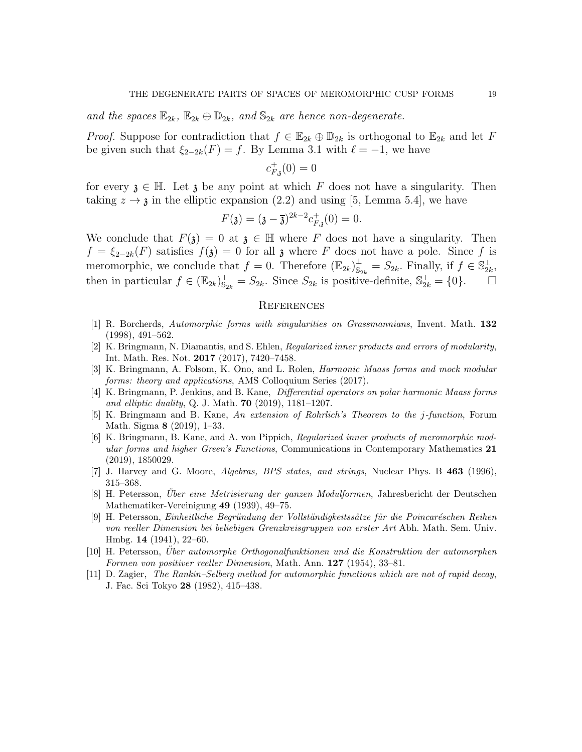and the spaces  $\mathbb{E}_{2k}$ ,  $\mathbb{E}_{2k} \oplus \mathbb{D}_{2k}$ , and  $\mathbb{S}_{2k}$  are hence non-degenerate.

*Proof.* Suppose for contradiction that  $f \in \mathbb{E}_{2k} \oplus \mathbb{D}_{2k}$  is orthogonal to  $\mathbb{E}_{2k}$  and let F be given such that  $\xi_{2-2k}(F) = f$ . By Lemma 3.1 with  $\ell = -1$ , we have

$$
c_{F,\mathfrak{z}}^+(0)=0
$$

for every  $\lambda \in \mathbb{H}$ . Let  $\lambda$  be any point at which F does not have a singularity. Then taking  $z \rightarrow \mathfrak{z}$  in the elliptic expansion (2.2) and using [5, Lemma 5.4], we have

$$
F(\mathfrak{z}) = (\mathfrak{z} - \overline{\mathfrak{z}})^{2k-2} c_{F,\mathfrak{z}}^{+}(0) = 0.
$$

We conclude that  $F(\mathfrak{z}) = 0$  at  $\mathfrak{z} \in \mathbb{H}$  where F does not have a singularity. Then  $f = \xi_{2-2k}(F)$  satisfies  $f(\mathfrak{z}) = 0$  for all  $\mathfrak{z}$  where F does not have a pole. Since f is meromorphic, we conclude that  $f = 0$ . Therefore  $(\mathbb{E}_{2k})_{\mathbb{S}}^{\perp}$  $S_{2k}^{\perp} = S_{2k}$ . Finally, if  $f \in S_{2k}^{\perp}$ , then in particular  $f \in (\mathbb{E}_{2k})_{\mathbb{S}_{2k}}^{\perp} = S_{2k}$ . Since  $S_{2k}$  is positive-definite,  $\mathbb{S}_{2k}^{\perp} = \{0\}$ .  $\Box$ 

## **REFERENCES**

- [1] R. Borcherds, Automorphic forms with singularities on Grassmannians, Invent. Math. 132 (1998), 491–562.
- [2] K. Bringmann, N. Diamantis, and S. Ehlen, Regularized inner products and errors of modularity, Int. Math. Res. Not. 2017 (2017), 7420–7458.
- [3] K. Bringmann, A. Folsom, K. Ono, and L. Rolen, Harmonic Maass forms and mock modular forms: theory and applications, AMS Colloquium Series (2017).
- [4] K. Bringmann, P. Jenkins, and B. Kane, Differential operators on polar harmonic Maass forms and elliptic duality, Q. J. Math. 70 (2019), 1181–1207.
- [5] K. Bringmann and B. Kane, An extension of Rohrlich's Theorem to the j-function, Forum Math. Sigma 8 (2019), 1–33.
- [6] K. Bringmann, B. Kane, and A. von Pippich, Regularized inner products of meromorphic modular forms and higher Green's Functions, Communications in Contemporary Mathematics 21 (2019), 1850029.
- [7] J. Harvey and G. Moore, Algebras, BPS states, and strings, Nuclear Phys. B 463 (1996), 315–368.
- [8] H. Petersson, Uber eine Metrisierung der ganzen Modulformen, Jahresbericht der Deutschen Mathematiker-Vereinigung 49 (1939), 49–75.
- [9] H. Petersson, Einheitliche Begründung der Vollständigkeitssätze für die Poincaréschen Reihen von reeller Dimension bei beliebigen Grenzkreisgruppen von erster Art Abh. Math. Sem. Univ. Hmbg. 14 (1941), 22–60.
- [10] H. Petersson, Über automorphe Orthogonalfunktionen und die Konstruktion der automorphen Formen von positiver reeller Dimension, Math. Ann. 127 (1954), 33-81.
- [11] D. Zagier, The Rankin–Selberg method for automorphic functions which are not of rapid decay, J. Fac. Sci Tokyo 28 (1982), 415–438.